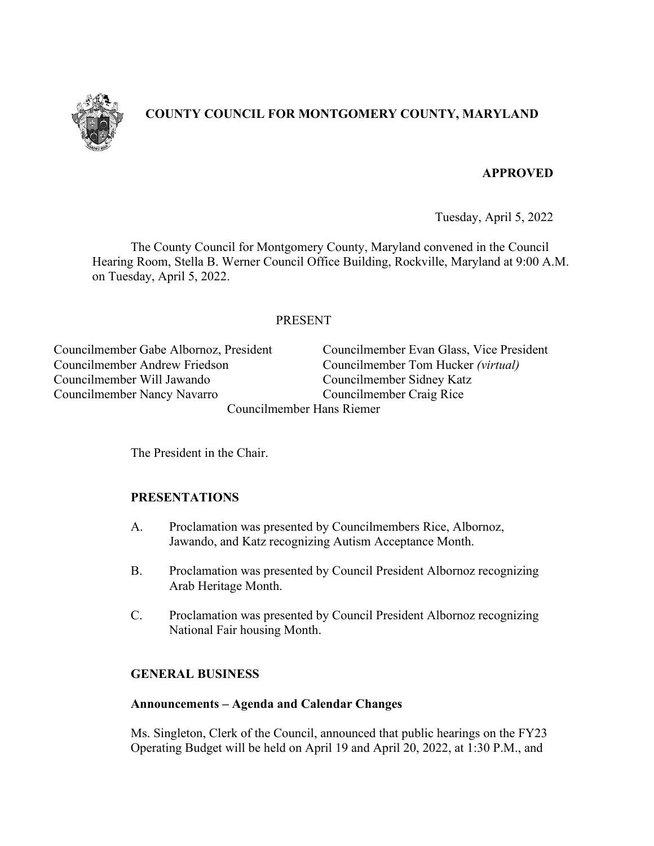

# **COUNTY COUNCIL FOR MONTGOMERY COUNTY, MARYLAND**

# **APPROVED**

Tuesday, April 5, 2022

The County Council for Montgomery County, Maryland convened in the Council Hearing Room, Stella B. Werner Council Office Building, Rockville, Maryland at 9:00 A.M. on Tuesday, April 5, 2022.

# PRESENT

Councilmember Andrew Friedson Councilmember Tom Hucker *(virtual)* Councilmember Will Jawando Councilmember Sidney Katz Councilmember Nancy Navarro Councilmember Craig Rice

Councilmember Gabe Albornoz, President Councilmember Evan Glass, Vice President

Councilmember Hans Riemer

The President in the Chair.

# **PRESENTATIONS**

- A. Proclamation was presented by Councilmembers Rice, Albornoz, Jawando, and Katz recognizing Autism Acceptance Month.
- B. Proclamation was presented by Council President Albornoz recognizing Arab Heritage Month.
- C. Proclamation was presented by Council President Albornoz recognizing National Fair housing Month.

### **GENERAL BUSINESS**

### **Announcements – Agenda and Calendar Changes**

Ms. Singleton, Clerk of the Council, announced that public hearings on the FY23 Operating Budget will be held on April 19 and April 20, 2022, at 1:30 P.M., and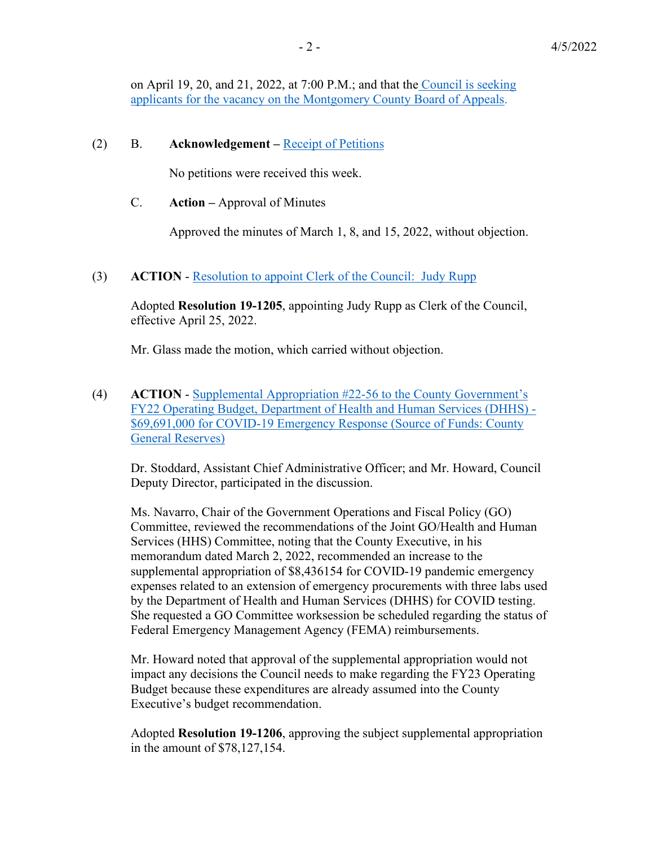on April 19, 20, and 21, 2022, at 7:00 P.M.; and that th[e Council is seeking](https://www.montgomerycountymd.gov/council/Resources/Files/agenda/col/2022/20220405/20220405_1.pdf)  [applicants for the vacancy on the Montgomery County Board of Appeals.](https://www.montgomerycountymd.gov/council/Resources/Files/agenda/col/2022/20220405/20220405_1.pdf)

#### (2) B. **Acknowledgement –** [Receipt of Petitions](https://www.montgomerycountymd.gov/council/Resources/Files/agenda/col/2022/20220405/20220405_index.pdf)

No petitions were received this week.

C. **Action –** Approval of Minutes

Approved the minutes of March 1, 8, and 15, 2022, without objection.

(3) **ACTION** - [Resolution to appoint Clerk of the Council: Judy Rupp](https://www.montgomerycountymd.gov/council/Resources/Files/agenda/col/2022/20220405/20220405_3.pdf) 

Adopted **Resolution 19-1205**, appointing Judy Rupp as Clerk of the Council, effective April 25, 2022.

Mr. Glass made the motion, which carried without objection.

(4) **ACTION** - [Supplemental Appropriation #22-56 to the County Government's](https://www.montgomerycountymd.gov/council/Resources/Files/agenda/col/2022/20220405/20220405_4.pdf)  [FY22 Operating Budget, Department of Health and Human Services \(DHHS\) -](https://www.montgomerycountymd.gov/council/Resources/Files/agenda/col/2022/20220405/20220405_4.pdf)  [\\$69,691,000 for COVID-19 Emergency Response \(Source of Funds: County](https://www.montgomerycountymd.gov/council/Resources/Files/agenda/col/2022/20220405/20220405_4.pdf)  [General Reserves\)](https://www.montgomerycountymd.gov/council/Resources/Files/agenda/col/2022/20220405/20220405_4.pdf)

Dr. Stoddard, Assistant Chief Administrative Officer; and Mr. Howard, Council Deputy Director, participated in the discussion.

Ms. Navarro, Chair of the Government Operations and Fiscal Policy (GO) Committee, reviewed the recommendations of the Joint GO/Health and Human Services (HHS) Committee, noting that the County Executive, in his memorandum dated March 2, 2022, recommended an increase to the supplemental appropriation of \$8,436154 for COVID-19 pandemic emergency expenses related to an extension of emergency procurements with three labs used by the Department of Health and Human Services (DHHS) for COVID testing. She requested a GO Committee worksession be scheduled regarding the status of Federal Emergency Management Agency (FEMA) reimbursements.

Mr. Howard noted that approval of the supplemental appropriation would not impact any decisions the Council needs to make regarding the FY23 Operating Budget because these expenditures are already assumed into the County Executive's budget recommendation.

Adopted **Resolution 19-1206**, approving the subject supplemental appropriation in the amount of \$78,127,154.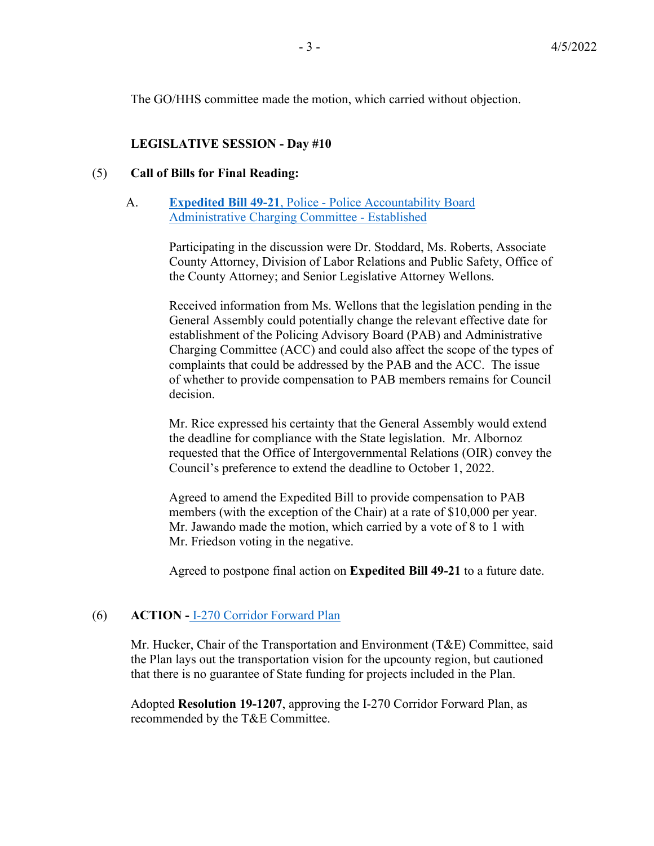The GO/HHS committee made the motion, which carried without objection.

### **LEGISLATIVE SESSION - Day #10**

#### (5) **Call of Bills for Final Reading:**

#### A. **Expedited Bill 49-21**[, Police - Police Accountability Board](https://www.montgomerycountymd.gov/council/Resources/Files/agenda/col/2022/20220405/20220405_5.pdf)  Administrative [Charging Committee - Established](https://www.montgomerycountymd.gov/council/Resources/Files/agenda/col/2022/20220405/20220405_5.pdf)

Participating in the discussion were Dr. Stoddard, Ms. Roberts, Associate County Attorney, Division of Labor Relations and Public Safety, Office of the County Attorney; and Senior Legislative Attorney Wellons.

Received information from Ms. Wellons that the legislation pending in the General Assembly could potentially change the relevant effective date for establishment of the Policing Advisory Board (PAB) and Administrative Charging Committee (ACC) and could also affect the scope of the types of complaints that could be addressed by the PAB and the ACC. The issue of whether to provide compensation to PAB members remains for Council decision.

Mr. Rice expressed his certainty that the General Assembly would extend the deadline for compliance with the State legislation. Mr. Albornoz requested that the Office of Intergovernmental Relations (OIR) convey the Council's preference to extend the deadline to October 1, 2022.

Agreed to amend the Expedited Bill to provide compensation to PAB members (with the exception of the Chair) at a rate of \$10,000 per year. Mr. Jawando made the motion, which carried by a vote of 8 to 1 with Mr. Friedson voting in the negative.

Agreed to postpone final action on **Expedited Bill 49-21** to a future date.

### (6) **ACTION -** [I-270 Corridor Forward Plan](https://www.montgomerycountymd.gov/council/Resources/Files/agenda/col/2022/20220405/20220405_6.pdf)

Mr. Hucker, Chair of the Transportation and Environment (T&E) Committee, said the Plan lays out the transportation vision for the upcounty region, but cautioned that there is no guarantee of State funding for projects included in the Plan.

Adopted **Resolution 19-1207**, approving the I-270 Corridor Forward Plan, as recommended by the T&E Committee.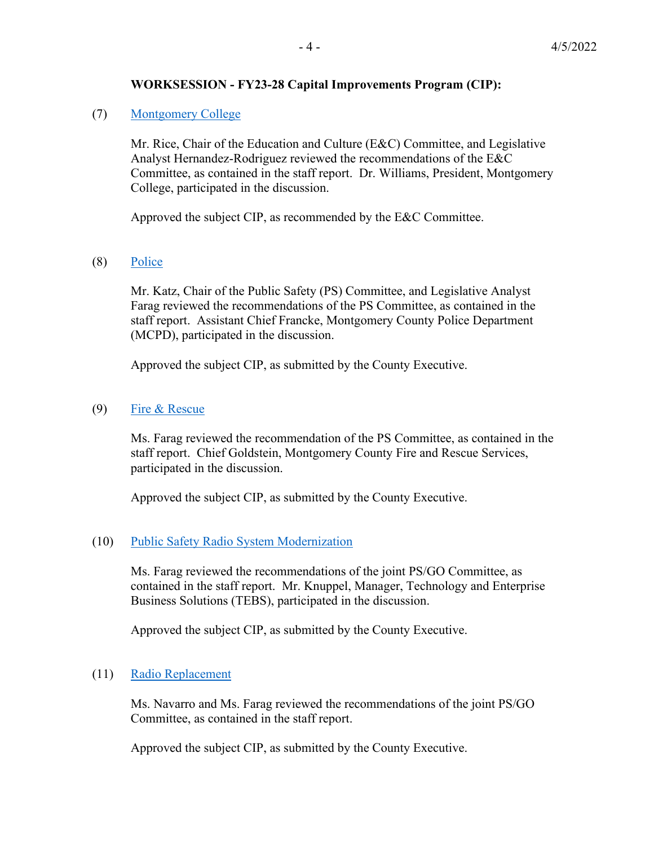## **WORKSESSION - FY23-28 Capital Improvements Program (CIP):**

### (7) [Montgomery College](https://www.montgomerycountymd.gov/council/Resources/Files/agenda/col/2022/20220405/20220405_7.pdf)

Mr. Rice, Chair of the Education and Culture (E&C) Committee, and Legislative Analyst Hernandez-Rodriguez reviewed the recommendations of the E&C Committee, as contained in the staff report. Dr. Williams, President, Montgomery College, participated in the discussion.

Approved the subject CIP, as recommended by the E&C Committee.

(8) [Police](https://www.montgomerycountymd.gov/council/Resources/Files/agenda/col/2022/20220405/20220405_8.pdf)

Mr. Katz, Chair of the Public Safety (PS) Committee, and Legislative Analyst Farag reviewed the recommendations of the PS Committee, as contained in the staff report. Assistant Chief Francke, Montgomery County Police Department (MCPD), participated in the discussion.

Approved the subject CIP, as submitted by the County Executive.

### (9) [Fire & Rescue](https://www.montgomerycountymd.gov/council/Resources/Files/agenda/col/2022/20220405/20220405_9.pdf)

Ms. Farag reviewed the recommendation of the PS Committee, as contained in the staff report. Chief Goldstein, Montgomery County Fire and Rescue Services, participated in the discussion.

Approved the subject CIP, as submitted by the County Executive.

# (10) [Public Safety Radio System Modernization](https://www.montgomerycountymd.gov/council/Resources/Files/agenda/col/2022/20220405/20220405_10.pdf)

Ms. Farag reviewed the recommendations of the joint PS/GO Committee, as contained in the staff report. Mr. Knuppel, Manager, Technology and Enterprise Business Solutions (TEBS), participated in the discussion.

Approved the subject CIP, as submitted by the County Executive.

### (11) [Radio Replacement](https://www.montgomerycountymd.gov/council/Resources/Files/agenda/col/2022/20220405/20220405_11.pdf)

Ms. Navarro and Ms. Farag reviewed the recommendations of the joint PS/GO Committee, as contained in the staff report.

Approved the subject CIP, as submitted by the County Executive.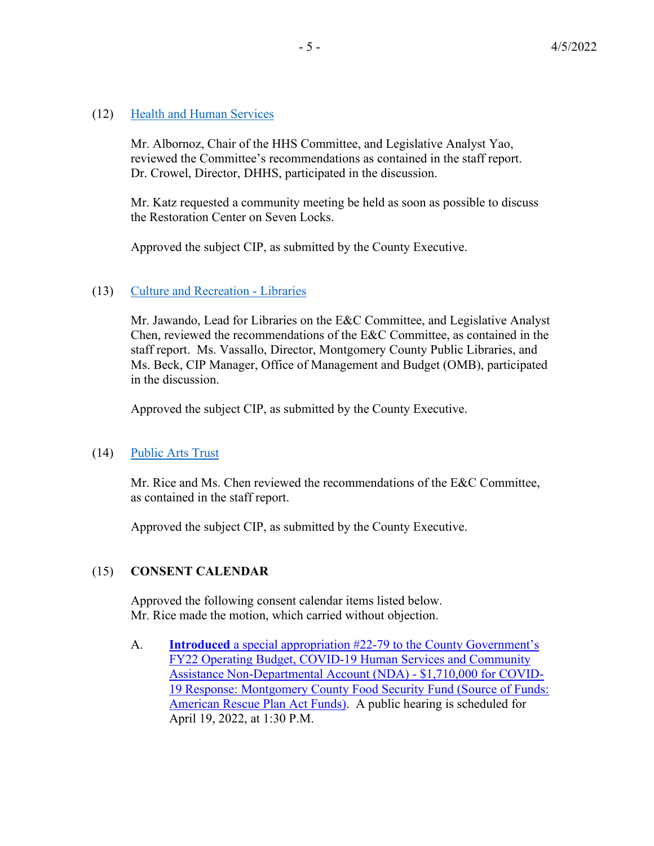### (12) [Health and Human Services](https://www.montgomerycountymd.gov/council/Resources/Files/agenda/col/2022/20220405/20220405_12.pdf)

 Mr. Albornoz, Chair of the HHS Committee, and Legislative Analyst Yao, reviewed the Committee's recommendations as contained in the staff report. Dr. Crowel, Director, DHHS, participated in the discussion.

Mr. Katz requested a community meeting be held as soon as possible to discuss the Restoration Center on Seven Locks.

Approved the subject CIP, as submitted by the County Executive.

### (13) [Culture and Recreation - Libraries](https://www.montgomerycountymd.gov/council/Resources/Files/agenda/col/2022/20220405/20220405_13.pdf)

Mr. Jawando, Lead for Libraries on the E&C Committee, and Legislative Analyst Chen, reviewed the recommendations of the E&C Committee, as contained in the staff report. Ms. Vassallo, Director, Montgomery County Public Libraries, and Ms. Beck, CIP Manager, Office of Management and Budget (OMB), participated in the discussion.

Approved the subject CIP, as submitted by the County Executive.

# (14) [Public Arts Trust](https://www.montgomerycountymd.gov/council/Resources/Files/agenda/col/2022/20220405/20220405_14.pdf)

 Mr. Rice and Ms. Chen reviewed the recommendations of the E&C Committee, as contained in the staff report.

Approved the subject CIP, as submitted by the County Executive.

# (15) **CONSENT CALENDAR**

Approved the following consent calendar items listed below. Mr. Rice made the motion, which carried without objection.

A. **Introduced** [a special appropriation #22-79 to the County Government's](https://www.montgomerycountymd.gov/council/Resources/Files/agenda/col/2022/20220405/20220405_15A.pdf)  [FY22 Operating Budget, COVID-19 Human Services and Community](https://www.montgomerycountymd.gov/council/Resources/Files/agenda/col/2022/20220405/20220405_15A.pdf)  [Assistance Non-Departmental Account \(NDA\) - \\$1,710,000 for COVID-](https://www.montgomerycountymd.gov/council/Resources/Files/agenda/col/2022/20220405/20220405_15A.pdf)[19 Response: Montgomery County Food Security Fund \(Source of Funds:](https://www.montgomerycountymd.gov/council/Resources/Files/agenda/col/2022/20220405/20220405_15A.pdf)  [American Rescue Plan Act Funds\).](https://www.montgomerycountymd.gov/council/Resources/Files/agenda/col/2022/20220405/20220405_15A.pdf) A public hearing is scheduled for April 19, 2022, at 1:30 P.M.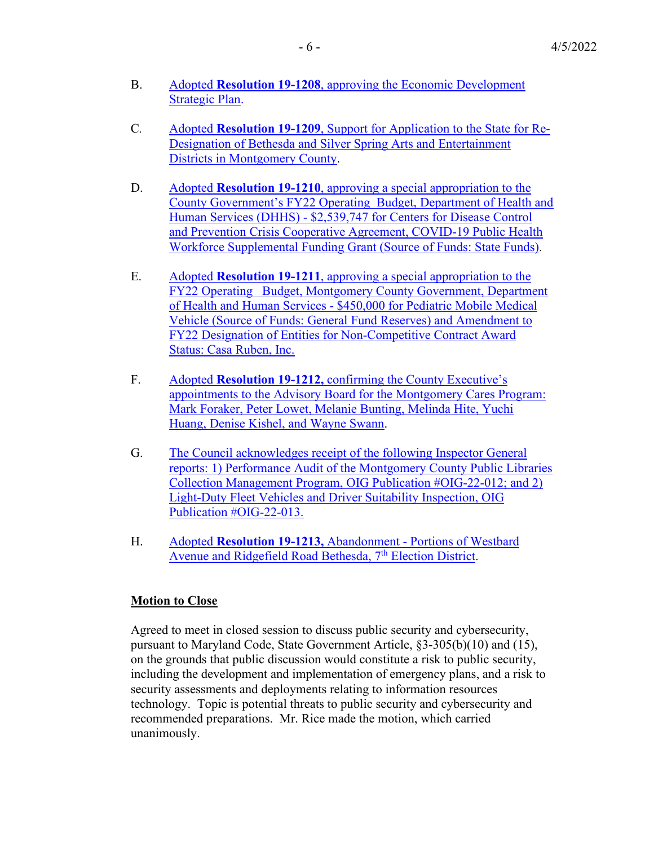- B. Adopted **Resolution 19-1208**, approving the [Economic Development](https://www.montgomerycountymd.gov/council/Resources/Files/agenda/col/2022/20220405/20220405_15B.pdf)  [Strategic Plan.](https://www.montgomerycountymd.gov/council/Resources/Files/agenda/col/2022/20220405/20220405_15B.pdf)
- C*.* Adopted **Resolution 19-1209**[, Support for Application to the State for Re-](https://www.montgomerycountymd.gov/council/Resources/Files/agenda/col/2022/20220405/20220405_15C.pdf)Designation of Bethesda and Silver Spring Arts and Entertainment [Districts in Montgomery County.](https://www.montgomerycountymd.gov/council/Resources/Files/agenda/col/2022/20220405/20220405_15C.pdf)
- D. Adopted **Resolution 19-1210**, approving [a special appropriation to the](https://www.montgomerycountymd.gov/council/Resources/Files/agenda/col/2022/20220405/20220405_15D.pdf)  [County Government's FY22 Operating Budget, Department of Health and](https://www.montgomerycountymd.gov/council/Resources/Files/agenda/col/2022/20220405/20220405_15D.pdf)  [Human Services \(DHHS\) - \\$2,539,747 for Centers for Disease Control](https://www.montgomerycountymd.gov/council/Resources/Files/agenda/col/2022/20220405/20220405_15D.pdf)  [and Prevention Crisis Cooperative Agreement, COVID-19 Public Health](https://www.montgomerycountymd.gov/council/Resources/Files/agenda/col/2022/20220405/20220405_15D.pdf)  [Workforce Supplemental Funding Grant \(Source of Funds: State Funds\).](https://www.montgomerycountymd.gov/council/Resources/Files/agenda/col/2022/20220405/20220405_15D.pdf)
- E. Adopted **Resolution 19-1211**, approving a [special appropriation to the](https://www.montgomerycountymd.gov/council/Resources/Files/agenda/col/2022/20220405/20220405_15E.pdf)  [FY22 Operating Budget, Montgomery County Government, Department](https://www.montgomerycountymd.gov/council/Resources/Files/agenda/col/2022/20220405/20220405_15E.pdf)  [of Health and Human Services - \\$450,000 for Pediatric Mobile Medical](https://www.montgomerycountymd.gov/council/Resources/Files/agenda/col/2022/20220405/20220405_15E.pdf)  [Vehicle \(Source of Funds: General Fund Reserves\) and Amendment to](https://www.montgomerycountymd.gov/council/Resources/Files/agenda/col/2022/20220405/20220405_15E.pdf)  [FY22 Designation of Entities for Non-Competitive Contract Award](https://www.montgomerycountymd.gov/council/Resources/Files/agenda/col/2022/20220405/20220405_15E.pdf)  [Status: Casa Ruben, Inc.](https://www.montgomerycountymd.gov/council/Resources/Files/agenda/col/2022/20220405/20220405_15E.pdf)
- F. Adopted **Resolution 19-1212,** [confirming the County Executive's](https://www.montgomerycountymd.gov/council/Resources/Files/agenda/col/2022/20220405/20220405_15F.pdf)  [appointments to the Advisory Board for the Montgomery Cares Program:](https://www.montgomerycountymd.gov/council/Resources/Files/agenda/col/2022/20220405/20220405_15F.pdf)  [Mark Foraker, Peter Lowet, Melanie Bunting, Melinda Hite, Yuchi](https://www.montgomerycountymd.gov/council/Resources/Files/agenda/col/2022/20220405/20220405_15F.pdf)  [Huang, Denise Kishel, and Wayne Swann.](https://www.montgomerycountymd.gov/council/Resources/Files/agenda/col/2022/20220405/20220405_15F.pdf)
- **G.** The Council acknowledges receipt of the following Inspector General [reports: 1\) Performance Audit of the Montgomery County Public Libraries](https://www.montgomerycountymd.gov/council/Resources/Files/agenda/col/2022/20220405/20220405_15G.pdf)  [Collection Management Program, OIG Publication #OIG-22-012; and 2\)](https://www.montgomerycountymd.gov/council/Resources/Files/agenda/col/2022/20220405/20220405_15G.pdf)  [Light-Duty Fleet Vehicles and Driver Suitability Inspection, OIG](https://www.montgomerycountymd.gov/council/Resources/Files/agenda/col/2022/20220405/20220405_15G.pdf)  [Publication #OIG-22-013.](https://www.montgomerycountymd.gov/council/Resources/Files/agenda/col/2022/20220405/20220405_15G.pdf)
- H. Adopted **Resolution 19-1213,** [Abandonment Portions of Westbard](https://www.montgomerycountymd.gov/council/Resources/Files/agenda/col/2022/20220405/20220405_15H.pdf)  [Avenue and Ridgefield Road](https://www.montgomerycountymd.gov/council/Resources/Files/agenda/col/2022/20220405/20220405_15H.pdf) Bethesda, 7<sup>th</sup> Election District.

# **Motion to Close**

Agreed to meet in closed session to discuss public security and cybersecurity, pursuant to Maryland Code, State Government Article, §3-305(b)(10) and (15), on the grounds that public discussion would constitute a risk to public security, including the development and implementation of emergency plans, and a risk to security assessments and deployments relating to information resources technology. Topic is potential threats to public security and cybersecurity and recommended preparations. Mr. Rice made the motion, which carried unanimously.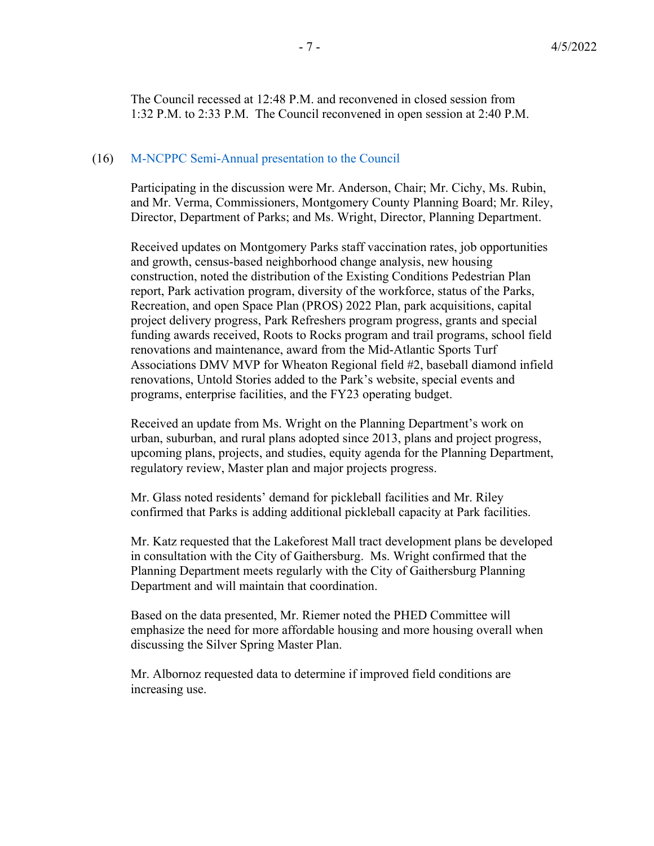The Council recessed at 12:48 P.M. and reconvened in closed session from 1:32 P.M. to 2:33 P.M. The Council reconvened in open session at 2:40 P.M.

#### (16) M-NCPPC Semi-Annual presentation to the Council

Participating in the discussion were Mr. Anderson, Chair; Mr. Cichy, Ms. Rubin, and Mr. Verma, Commissioners, Montgomery County Planning Board; Mr. Riley, Director, Department of Parks; and Ms. Wright, Director, Planning Department.

Received updates on Montgomery Parks staff vaccination rates, job opportunities and growth, census-based neighborhood change analysis, new housing construction, noted the distribution of the Existing Conditions Pedestrian Plan report, Park activation program, diversity of the workforce, status of the Parks, Recreation, and open Space Plan (PROS) 2022 Plan, park acquisitions, capital project delivery progress, Park Refreshers program progress, grants and special funding awards received, Roots to Rocks program and trail programs, school field renovations and maintenance, award from the Mid-Atlantic Sports Turf Associations DMV MVP for Wheaton Regional field #2, baseball diamond infield renovations, Untold Stories added to the Park's website, special events and programs, enterprise facilities, and the FY23 operating budget.

Received an update from Ms. Wright on the Planning Department's work on urban, suburban, and rural plans adopted since 2013, plans and project progress, upcoming plans, projects, and studies, equity agenda for the Planning Department, regulatory review, Master plan and major projects progress.

Mr. Glass noted residents' demand for pickleball facilities and Mr. Riley confirmed that Parks is adding additional pickleball capacity at Park facilities.

Mr. Katz requested that the Lakeforest Mall tract development plans be developed in consultation with the City of Gaithersburg. Ms. Wright confirmed that the Planning Department meets regularly with the City of Gaithersburg Planning Department and will maintain that coordination.

Based on the data presented, Mr. Riemer noted the PHED Committee will emphasize the need for more affordable housing and more housing overall when discussing the Silver Spring Master Plan.

Mr. Albornoz requested data to determine if improved field conditions are increasing use.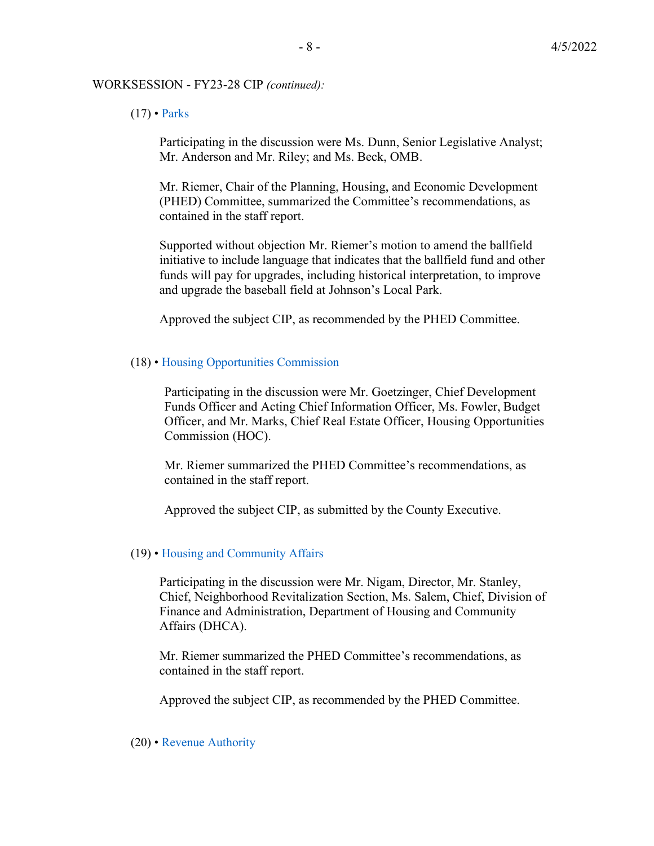#### WORKSESSION - FY23-28 CIP *(continued):*

#### $(17)$  • Parks

Participating in the discussion were Ms. Dunn, Senior Legislative Analyst; Mr. Anderson and Mr. Riley; and Ms. Beck, OMB.

Mr. Riemer, Chair of the Planning, Housing, and Economic Development (PHED) Committee, summarized the Committee's recommendations, as contained in the staff report.

Supported without objection Mr. Riemer's motion to amend the ballfield initiative to include language that indicates that the ballfield fund and other funds will pay for upgrades, including historical interpretation, to improve and upgrade the baseball field at Johnson's Local Park.

Approved the subject CIP, as recommended by the PHED Committee.

#### (18) • Housing Opportunities Commission

Participating in the discussion were Mr. Goetzinger, Chief Development Funds Officer and Acting Chief Information Officer, Ms. Fowler, Budget Officer, and Mr. Marks, Chief Real Estate Officer, Housing Opportunities Commission (HOC).

Mr. Riemer summarized the PHED Committee's recommendations, as contained in the staff report.

Approved the subject CIP, as submitted by the County Executive.

### (19) • Housing and Community Affairs

Participating in the discussion were Mr. Nigam, Director, Mr. Stanley, Chief, Neighborhood Revitalization Section, Ms. Salem, Chief, Division of Finance and Administration, Department of Housing and Community Affairs (DHCA).

Mr. Riemer summarized the PHED Committee's recommendations, as contained in the staff report.

Approved the subject CIP, as recommended by the PHED Committee.

#### (20) • Revenue Authority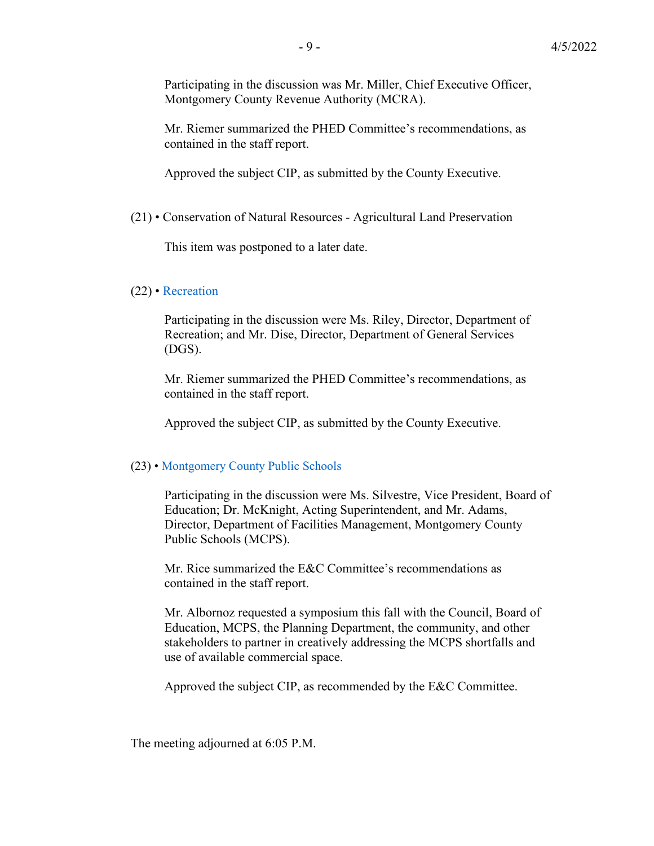Participating in the discussion was Mr. Miller, Chief Executive Officer, Montgomery County Revenue Authority (MCRA).

Mr. Riemer summarized the PHED Committee's recommendations, as contained in the staff report.

Approved the subject CIP, as submitted by the County Executive.

(21) • Conservation of Natural Resources - Agricultural Land Preservation

This item was postponed to a later date.

#### (22) • Recreation

Participating in the discussion were Ms. Riley, Director, Department of Recreation; and Mr. Dise, Director, Department of General Services (DGS).

Mr. Riemer summarized the PHED Committee's recommendations, as contained in the staff report.

Approved the subject CIP, as submitted by the County Executive.

#### (23) • Montgomery County Public Schools

Participating in the discussion were Ms. Silvestre, Vice President, Board of Education; Dr. McKnight, Acting Superintendent, and Mr. Adams, Director, Department of Facilities Management, Montgomery County Public Schools (MCPS).

Mr. Rice summarized the E&C Committee's recommendations as contained in the staff report.

Mr. Albornoz requested a symposium this fall with the Council, Board of Education, MCPS, the Planning Department, the community, and other stakeholders to partner in creatively addressing the MCPS shortfalls and use of available commercial space.

Approved the subject CIP, as recommended by the E&C Committee.

The meeting adjourned at 6:05 P.M.